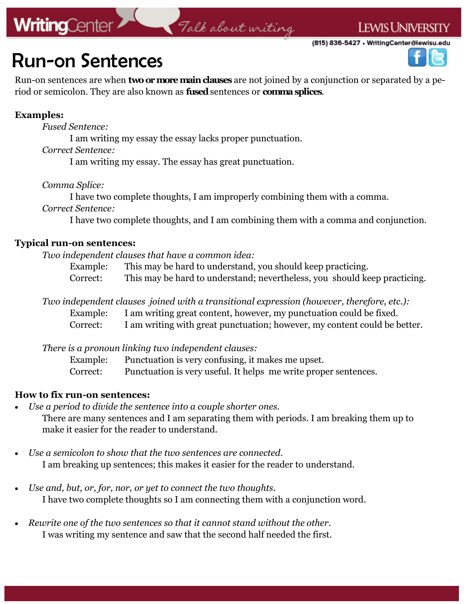### **WritingCenter**

## Talk about writing

(815) 836-5427 • WritingCenter@lewisu.edu

**LEWIS UNIVERSITY** 

### Run-on Sentences

Run-on sentences are when **two or more main clauses** are not joined by a conjunction or separated by a period or semicolon. They are also known as **fused** sentences or **comma splices**.

#### **Examples:**

*Fused Sentence:*

I am writing my essay the essay lacks proper punctuation.

*Correct Sentence:*

I am writing my essay. The essay has great punctuation.

*Comma Splice:*

I have two complete thoughts, I am improperly combining them with a comma.

*Correct Sentence:*

I have two complete thoughts, and I am combining them with a comma and conjunction.

#### **Typical run-on sentences:**

*Two independent clauses that have a common idea:*

- Example: This may be hard to understand, you should keep practicing.
- Correct: This may be hard to understand; nevertheless, you should keep practicing.

*Two independent clauses joined with a transitional expression (however, therefore, etc.):*

- Example: I am writing great content, however, my punctuation could be fixed.
- Correct: I am writing with great punctuation; however, my content could be better.

*There is a pronoun linking two independent clauses:*

Example: Punctuation is very confusing, it makes me upset.

Correct: Punctuation is very useful. It helps me write proper sentences.

### **How to fix run-on sentences:**

- *Use a period to divide the sentence into a couple shorter ones.* There are many sentences and I am separating them with periods. I am breaking them up to make it easier for the reader to understand.
- *Use a semicolon to show that the two sentences are connected.* I am breaking up sentences; this makes it easier for the reader to understand.
- *Use and, but, or, for, nor, or yet to connect the two thoughts.* I have two complete thoughts so I am connecting them with a conjunction word.
- *Rewrite one of the two sentences so that it cannot stand without the other.* I was writing my sentence and saw that the second half needed the first.